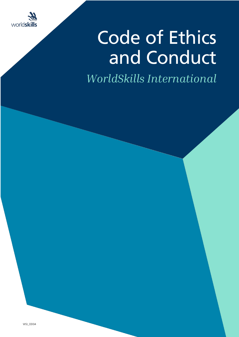

# Code of Ethics and Conduct

*WorldSkills International*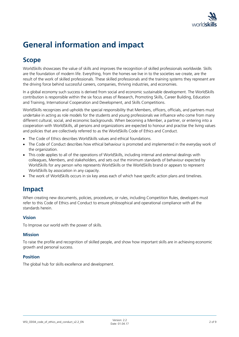

# **General information and impact**

## **Scope**

WorldSkills showcases the value of skills and improves the recognition of skilled professionals worldwide. Skills are the foundation of modern life. Everything, from the homes we live in to the societies we create, are the result of the work of skilled professionals. These skilled professionals and the training systems they represent are the driving force behind successful careers, companies, thriving industries, and economies.

In a global economy such success is derived from social and economic sustainable development. The WorldSkills contribution is responsible within the six focus areas of Research, Promoting Skills, Career Building, Education and Training, International Cooperation and Development, and Skills Competitions.

WorldSkills recognizes and upholds the special responsibility that Members, officers, officials, and partners must undertake in acting as role models for the students and young professionals we influence who come from many different cultural, social, and economic backgrounds. When becoming a Member, a partner, or entering into a cooperation with WorldSkills, all persons and organizations are expected to honour and practise the living values and policies that are collectively referred to as the WorldSkills Code of Ethics and Conduct.

- The Code of Ethics describes WorldSkills values and ethical foundations.
- The Code of Conduct describes how ethical behaviour is promoted and implemented in the everyday work of the organization.
- This code applies to all of the operations of WorldSkills, including internal and external dealings with colleagues, Members, and stakeholders, and sets out the minimum standards of behaviour expected by WorldSkills for any person who represents WorldSkills or the WorldSkills brand or appears to represent WorldSkills by association in any capacity.
- The work of WorldSkills occurs in six key areas each of which have specific action plans and timelines.

## **Impact**

When creating new documents, policies, procedures, or rules, including Competition Rules, developers must refer to this Code of Ethics and Conduct to ensure philosophical and operational compliance with all the standards herein.

#### **Vision**

To Improve our world with the power of skills.

#### **Mission**

To raise the profile and recognition of skilled people, and show how important skills are in achieving economic growth and personal success.

#### **Position**

The global hub for skills excellence and development.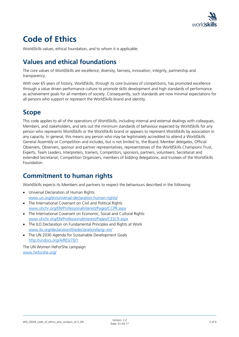

# **Code of Ethics**

WorldSkills values, ethical foundation, and to whom it is applicable.

## **Values and ethical foundations**

The core values of WorldSkills are excellence, diversity, fairness, innovation, integrity, partnership and transparency.

With over 65 years of history, WorldSkills, through its core business of competitions, has promoted excellence through a value driven performance culture to promote skills development and high standards of performance as achievement goals for all members of society. Consequently, such standards are now minimal expectations for all persons who support or represent the WorldSkills brand and identity.

## **Scope**

This code applies to all of the operations of WorldSkills, including internal and external dealings with colleagues, Members, and stakeholders, and sets out the minimum standards of behaviour expected by WorldSkills for any person who represents WorldSkills or the WorldSkills brand or appears to represent WorldSkills by association in any capacity. In general, this means any person who may be legitimately accredited to attend a WorldSkills General Assembly or Competition and includes, but is not limited to, the Board, Member delegates, Official Observers, Observers, sponsor and partner representatives, representatives of the WorldSkills Champions Trust, Experts, Team Leaders, Interpreters, trainers, Competitors, sponsors, partners, volunteers, Secretariat and extended Secretariat, Competition Organizers, members of bidding delegations, and trustees of the WorldSkills Foundation.

## **Commitment to human rights**

WorldSkills expects its Members and partners to respect the behaviours described in the following:

- Universal Declaration of Human Rights www.un.org/en/universal-declaration-human-rights/
- The International Covenant on Civil and Political Rights www.ohchr.org/EN/ProfessionalInterest/Pages/CCPR.aspx
- The International Covenant on Economic, Social and Cultural Rights www.ohchr.org/EN/ProfessionalInterest/Pages/CESCR.aspx
- The ILO Declaration on Fundamental Principles and Rights at Work www.ilo.org/declaration/thedeclaration/lang--en/
- The UN 2030 Agenda for Sustainable Development Goals http://undocs.org/A/RES/70/1

The UN Women HeForShe campaign www.heforshe.org/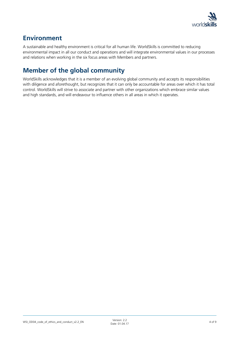

## **Environment**

A sustainable and healthy environment is critical for all human life. WorldSkills is committed to reducing environmental impact in all our conduct and operations and will integrate environmental values in our processes and relations when working in the six focus areas with Members and partners.

## **Member of the global community**

WorldSkills acknowledges that it is a member of an evolving global community and accepts its responsibilities with diligence and aforethought, but recognizes that it can only be accountable for areas over which it has total control. WorldSkills will strive to associate and partner with other organizations which embrace similar values and high standards, and will endeavour to influence others in all areas in which it operates.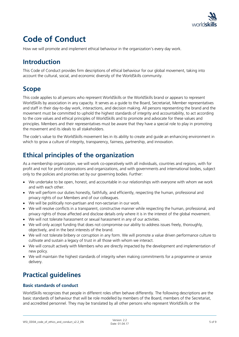

# **Code of Conduct**

How we will promote and implement ethical behaviour in the organization's every day work.

## **Introduction**

This Code of Conduct provides firm descriptions of ethical behaviour for our global movement, taking into account the cultural, social, and economic diversity of the WorldSkills community.

## **Scope**

This code applies to all persons who represent WorldSkills or the WorldSkills brand or appears to represent WorldSkills by association in any capacity. It serves as a guide to the Board, Secretariat, Member representatives and staff in their day-to-day work, interactions, and decision making. All persons representing the brand and the movement must be committed to uphold the highest standards of integrity and accountability, to act according to the core values and ethical principles of WorldSkills and to promote and advocate for these values and principles. Members and their representatives must be aware that they have a special role to play in promoting the movement and its ideals to all stakeholders.

The code's value to the WorldSkills movement lies in its ability to create and guide an enhancing environment in which to grow a culture of integrity, transparency, fairness, partnership, and innovation.

## **Ethical principles of the organization**

As a membership organization, we will work co-operatively with all individuals, countries and regions, with for profit and not for profit corporations and organizations, and with governments and international bodies, subject only to the policies and priorities set by our governing bodies. Further:

- We undertake to be open, honest, and accountable in our relationships with everyone with whom we work and with each other.
- We will perform our duties honestly, faithfully, and efficiently, respecting the human, professional and privacy rights of our Members and of our colleagues.
- We will be politically non-partisan and non-sectarian in our work.
- We will resolve conflicts in a transparent, constructive manner while respecting the human, professional, and privacy rights of those affected and disclose details only where it is in the interest of the global movement.
- We will not tolerate harassment or sexual harassment in any of our activities.
- We will only accept funding that does not compromise our ability to address issues freely, thoroughly, objectively, and in the best interests of the brand.
- We will not tolerate bribery or corruption in any form. We will promote a value driven performance culture to cultivate and sustain a legacy of trust in all those with whom we interact.
- We will consult actively with Members who are directly impacted by the development and implementation of new policy.
- We will maintain the highest standards of integrity when making commitments for a programme or service delivery.

## **Practical guidelines**

#### **Basic standards of conduct**

WorldSkills recognizes that people in different roles often behave differently. The following descriptions are the basic standards of behaviour that will be role modelled by members of the Board, members of the Secretariat, and accredited personnel. They may be translated by all other persons who represent WorldSkills or the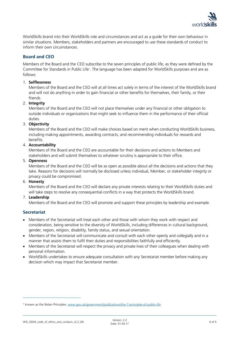

WorldSkills brand into their WorldSkills role and circumstances and act as a guide for their own behaviour in similar situations. Members, stakeholders and partners are encouraged to use these standards of conduct to inform their own circumstances.

#### **Board and CEO**

Members of the Board and the CEO subscribe to the seven principles of public life, as they were defined by the Committee for Standards in Public Life1. The language has been adapted for WorldSkills purposes and are as follows:

#### 1. **Selflessness**

Members of the Board and the CEO will at all times act solely in terms of the interest of the WorldSkills brand and will not do anything in order to gain financial or other benefits for themselves, their family, or their friends.

#### 2. **Integrity**

Members of the Board and the CEO will not place themselves under any financial or other obligation to outside individuals or organizations that might seek to influence them in the performance of their official duties.

#### 3. **Objectivity**

Members of the Board and the CEO will make choices based on merit when conducting WorldSkills business, including making appointments, awarding contracts, and recommending individuals for rewards and benefits.

#### 4. **Accountability**

Members of the Board and the CEO are accountable for their decisions and actions to Members and stakeholders and will submit themselves to whatever scrutiny is appropriate to their office.

#### 5. **Openness**

Members of the Board and the CEO will be as open as possible about all the decisions and actions that they take. Reasons for decisions will normally be disclosed unless individual, Member, or stakeholder integrity or privacy could be compromised.

#### 6. **Honesty**

Members of the Board and the CEO will declare any private interests relating to their WorldSkills duties and will take steps to resolve any consequential conflicts in a way that protects the WorldSkills brand.

#### 7. **Leadership**

Members of the Board and the CEO will promote and support these principles by leadership and example.

#### **Secretariat**

 $\overline{a}$ 

- Members of the Secretariat will treat each other and those with whom they work with respect and consideration, being sensitive to the diversity of WorldSkills, including differences in cultural background, gender, region, religion, disability, family status, and sexual orientation.
- Members of the Secretariat will communicate and consult with each other openly and collegially and in a manner that assists them to fulfil their duties and responsibilities faithfully and efficiently.
- Members of the Secretariat will respect the privacy and private lives of their colleagues when dealing with personal information.
- WorldSkills undertakes to ensure adequate consultation with any Secretariat member before making any decision which may impact that Secretariat member.

<sup>&</sup>lt;sup>1</sup> known as the Nolan Principles: www.gov.uk/government/publications/the-7-principles-of-public-life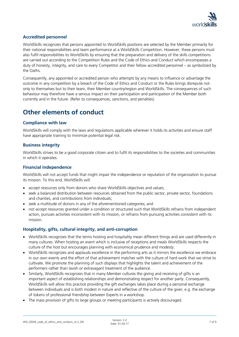

#### **Accredited personnel**

WorldSkills recognizes that persons appointed to WorldSkills positions are selected by the Member primarily for their national responsibilities and team performance at a WorldSkills Competition. However, these persons must also fulfil responsibilities to WorldSkills by ensuring that the preparation and delivery of the skills competitions are carried out according to the Competition Rules and the Code of Ethics and Conduct which encompasses a duty of honesty, integrity, and care to every Competitor and their fellow accredited personnel – as symbolized by the Oaths.

Consequently, any appointed or accredited person who attempts by any means to influence or advantage the outcome in any competition by a breach of the Code of Ethics and Conduct or the Rules brings disrepute not only to themselves but to their team, their Member country/region and WorldSkills. The consequences of such behaviour may therefore have a serious impact on their participation and participation of the Member both currently and in the future. (Refer to consequences, sanctions, and penalties).

## **Other elements of conduct**

#### **Compliance with law**

WorldSkills will comply with the laws and regulations applicable wherever it holds its activities and ensure staff have appropriate training to minimize potential legal risk.

#### **Business integrity**

WorldSkills strives to be a good corporate citizen and to fulfil its responsibilities to the societies and communities in which it operates.

#### **Financial independence**

WorldSkills will not accept funds that might impair the independence or reputation of the organization to pursue its mission. To this end, WorldSkills will:

- accept resources only from donors who share WorldSkills objectives and values:
- seek a balanced distribution between resources obtained from the public sector, private sector, foundations and charities, and contributions from individuals;
- seek a multitude of donors in any of the aforementioned categories; and
- not accept resources granted under a condition or structured such that WorldSkills refrains from independent action, pursues activities inconsistent with its mission, or refrains from pursuing activities consistent with its mission.

#### **Hospitality, gifts, cultural integrity, and anti-corruption**

- WorldSkills recognizes that the terms hosting and hospitality mean different things and are used differently in many cultures. When hosting an event which is inclusive of receptions and meals WorldSkills respects the culture of the host but encourages planning with economical prudence and modesty.
- WorldSkills recognizes and applauds excellence in the performing arts as it mirrors the excellence we embrace in our own events and the effort of that achievement matches with the culture of hard work that we strive to cultivate. We promote the planning of such displays that highlights the talent and achievement of the performers rather than lavish or extravagant treatment of the audience.
- Similarly, WorldSkills recognizes that in many Member cultures the giving and receiving of gifts is an important aspect of establishing relationships and demonstrating respect for another party. Consequently, WorldSkills will allow this practice providing the gift exchanges takes place during a personal exchange between individuals and is both modest in nature and reflective of the culture of the giver, e.g. the exchange of tokens of professional friendship between Experts in a workshop.
- The mass provision of gifts to large groups or meeting participants is actively discouraged.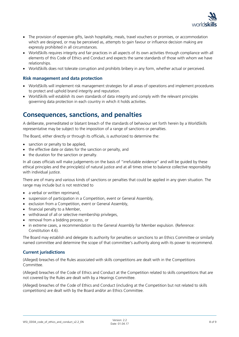

- The provision of expensive gifts, lavish hospitality, meals, travel vouchers or promises, or accommodation which are designed, or may be perceived as, attempts to gain favour or influence decision making are expressly prohibited in all circumstances.
- WorldSkills requires integrity and fair practices in all aspects of its own activities through compliance with all elements of this Code of Ethics and Conduct and expects the same standards of those with whom we have relationships.
- WorldSkills does not tolerate corruption and prohibits bribery in any form, whether actual or perceived.

#### **Risk management and data protection**

- WorldSkills will implement risk management strategies for all areas of operations and implement procedures to protect and uphold brand integrity and reputation.
- WorldSkills will establish its own standards of data integrity and comply with the relevant principles governing data protection in each country in which it holds activities.

## **Consequences, sanctions, and penalties**

A deliberate, premeditated or blatant breach of the standards of behaviour set forth herein by a WorldSkills representative may be subject to the imposition of a range of sanctions or penalties.

The Board, either directly or through its officials, is authorized to determine the:

- sanction or penalty to be applied,
- the effective date or dates for the sanction or penalty, and
- the duration for the sanction or penalty.

In all cases officials will make judgements on the basis of "irrefutable evidence" and will be guided by these ethical principles and the principle(s) of natural justice and at all times strive to balance collective responsibility with individual justice.

There are of many and various kinds of sanctions or penalties that could be applied in any given situation. The range may include but is not restricted to

- a verbal or written reprimand.
- suspension of participation in a Competition, event or General Assembly,
- exclusion from a Competition, event or General Assembly,
- financial penalty to a Member,
- withdrawal of all or selective membership privileges,
- removal from a bidding process, or
- in extreme cases, a recommendation to the General Assembly for Member expulsion. (Reference: Constitution 4.6).

The Board may establish and delegate its authority for penalties or sanctions to an Ethics Committee or similarly named committee and determine the scope of that committee's authority along with its power to recommend.

#### **Current jurisdictions**

(Alleged) breaches of the Rules associated with skills competitions are dealt with in the Competitions Committee.

(Alleged) breaches of the Code of Ethics and Conduct at the Competition related to skills competitions that are not covered by the Rules are dealt with by a Hearings Committee.

(Alleged) breaches of the Code of Ethics and Conduct (including at the Competition but not related to skills competitions) are dealt with by the Board and/or an Ethics Committee.